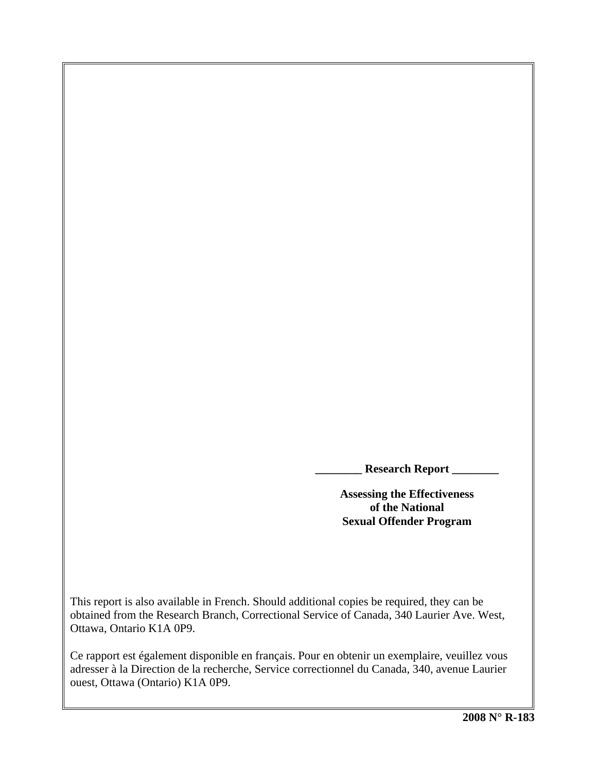**\_\_\_\_\_\_\_\_ Research Report \_\_\_\_\_\_\_\_** 

**Assessing the Effectiveness of the National Sexual Offender Program** 

This report is also available in French. Should additional copies be required, they can be obtained from the Research Branch, Correctional Service of Canada, 340 Laurier Ave. West, Ottawa, Ontario K1A 0P9.

Ce rapport est également disponible en français. Pour en obtenir un exemplaire, veuillez vous adresser à la Direction de la recherche, Service correctionnel du Canada, 340, avenue Laurier ouest, Ottawa (Ontario) K1A 0P9.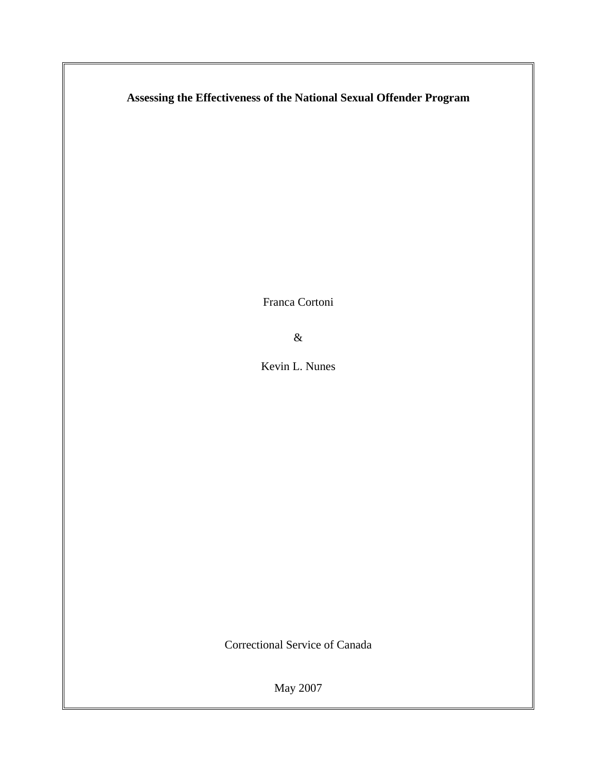# **Assessing the Effectiveness of the National Sexual Offender Program**

Franca Cortoni

&

Kevin L. Nunes

Correctional Service of Canada

May 2007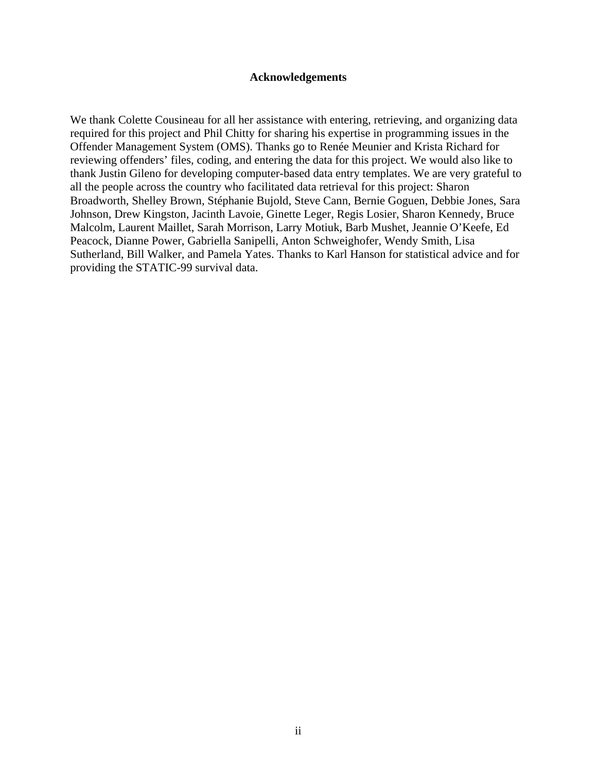### **Acknowledgements**

<span id="page-4-0"></span>We thank Colette Cousineau for all her assistance with entering, retrieving, and organizing data required for this project and Phil Chitty for sharing his expertise in programming issues in the Offender Management System (OMS). Thanks go to Renée Meunier and Krista Richard for reviewing offenders' files, coding, and entering the data for this project. We would also like to thank Justin Gileno for developing computer-based data entry templates. We are very grateful to all the people across the country who facilitated data retrieval for this project: Sharon Broadworth, Shelley Brown, Stéphanie Bujold, Steve Cann, Bernie Goguen, Debbie Jones, Sara Johnson, Drew Kingston, Jacinth Lavoie, Ginette Leger, Regis Losier, Sharon Kennedy, Bruce Malcolm, Laurent Maillet, Sarah Morrison, Larry Motiuk, Barb Mushet, Jeannie O'Keefe, Ed Peacock, Dianne Power, Gabriella Sanipelli, Anton Schweighofer, Wendy Smith, Lisa Sutherland, Bill Walker, and Pamela Yates. Thanks to Karl Hanson for statistical advice and for providing the STATIC-99 survival data.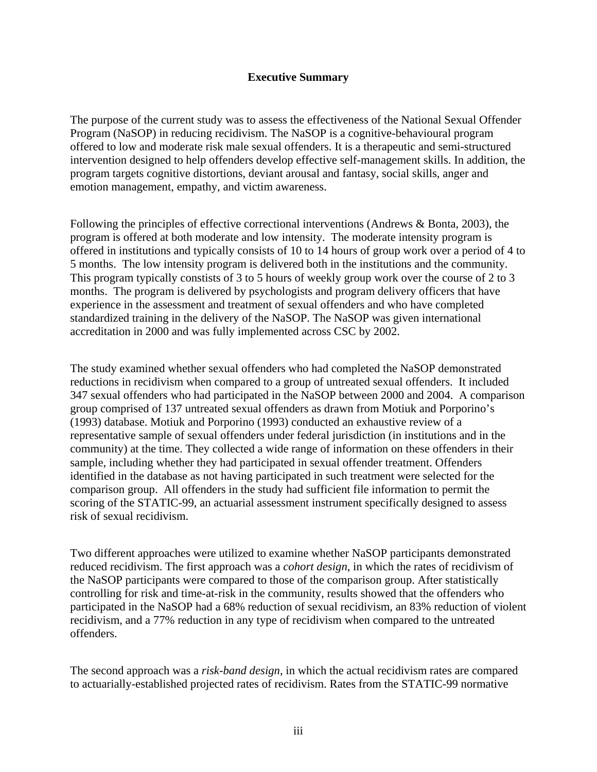## **Executive Summary**

<span id="page-6-0"></span>The purpose of the current study was to assess the effectiveness of the National Sexual Offender Program (NaSOP) in reducing recidivism. The NaSOP is a cognitive-behavioural program offered to low and moderate risk male sexual offenders. It is a therapeutic and semi-structured intervention designed to help offenders develop effective self-management skills. In addition, the program targets cognitive distortions, deviant arousal and fantasy, social skills, anger and emotion management, empathy, and victim awareness.

Following the principles of effective correctional interventions (Andrews & Bonta, 2003), the program is offered at both moderate and low intensity. The moderate intensity program is offered in institutions and typically consists of 10 to 14 hours of group work over a period of 4 to 5 months. The low intensity program is delivered both in the institutions and the community. This program typically constists of 3 to 5 hours of weekly group work over the course of 2 to 3 months. The program is delivered by psychologists and program delivery officers that have experience in the assessment and treatment of sexual offenders and who have completed standardized training in the delivery of the NaSOP. The NaSOP was given international accreditation in 2000 and was fully implemented across CSC by 2002.

The study examined whether sexual offenders who had completed the NaSOP demonstrated reductions in recidivism when compared to a group of untreated sexual offenders. It included 347 sexual offenders who had participated in the NaSOP between 2000 and 2004. A comparison group comprised of 137 untreated sexual offenders as drawn from Motiuk and Porporino's (1993) database. Motiuk and Porporino (1993) conducted an exhaustive review of a representative sample of sexual offenders under federal jurisdiction (in institutions and in the community) at the time. They collected a wide range of information on these offenders in their sample, including whether they had participated in sexual offender treatment. Offenders identified in the database as not having participated in such treatment were selected for the comparison group. All offenders in the study had sufficient file information to permit the scoring of the STATIC-99, an actuarial assessment instrument specifically designed to assess risk of sexual recidivism.

Two different approaches were utilized to examine whether NaSOP participants demonstrated reduced recidivism. The first approach was a *cohort design*, in which the rates of recidivism of the NaSOP participants were compared to those of the comparison group. After statistically controlling for risk and time-at-risk in the community, results showed that the offenders who participated in the NaSOP had a 68% reduction of sexual recidivism, an 83% reduction of violent recidivism, and a 77% reduction in any type of recidivism when compared to the untreated offenders.

The second approach was a *risk-band design*, in which the actual recidivism rates are compared to actuarially-established projected rates of recidivism. Rates from the STATIC-99 normative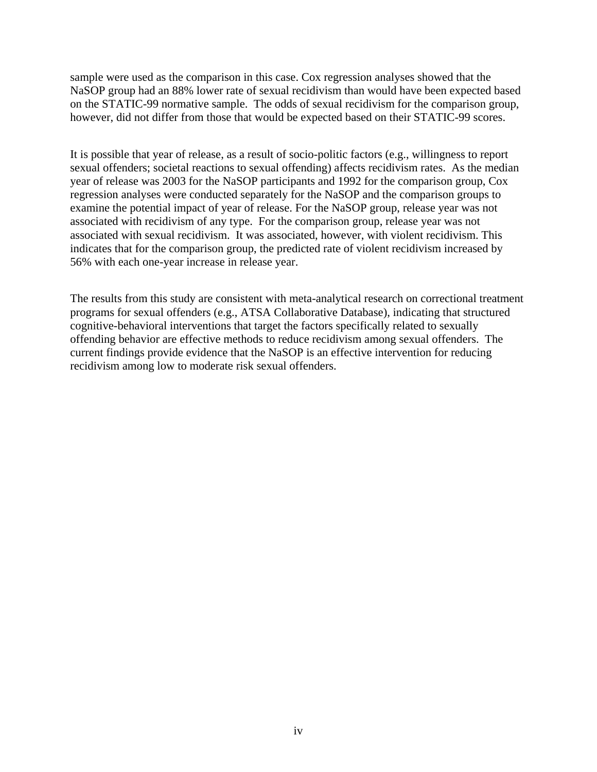sample were used as the comparison in this case. Cox regression analyses showed that the NaSOP group had an 88% lower rate of sexual recidivism than would have been expected based on the STATIC-99 normative sample. The odds of sexual recidivism for the comparison group, however, did not differ from those that would be expected based on their STATIC-99 scores.

It is possible that year of release, as a result of socio-politic factors (e.g., willingness to report sexual offenders; societal reactions to sexual offending) affects recidivism rates. As the median year of release was 2003 for the NaSOP participants and 1992 for the comparison group, Cox regression analyses were conducted separately for the NaSOP and the comparison groups to examine the potential impact of year of release. For the NaSOP group, release year was not associated with recidivism of any type. For the comparison group, release year was not associated with sexual recidivism. It was associated, however, with violent recidivism. This indicates that for the comparison group, the predicted rate of violent recidivism increased by 56% with each one-year increase in release year.

The results from this study are consistent with meta-analytical research on correctional treatment programs for sexual offenders (e.g., ATSA Collaborative Database), indicating that structured cognitive-behavioral interventions that target the factors specifically related to sexually offending behavior are effective methods to reduce recidivism among sexual offenders. The current findings provide evidence that the NaSOP is an effective intervention for reducing recidivism among low to moderate risk sexual offenders.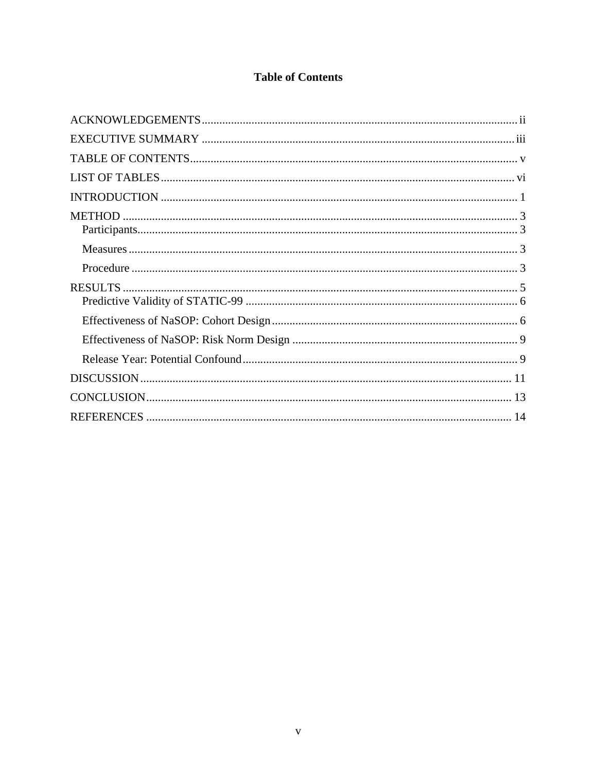# **Table of Contents**

<span id="page-8-0"></span>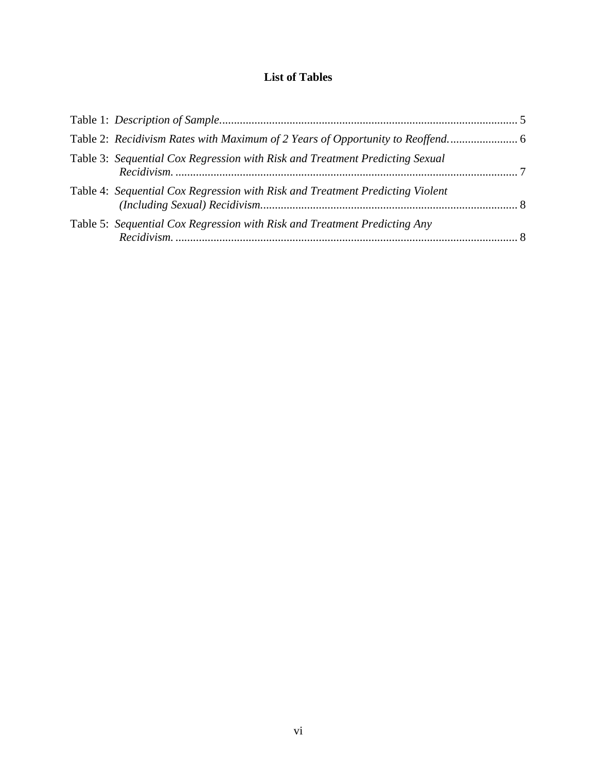# **List of Tables**

<span id="page-10-0"></span>

| Table 3: Sequential Cox Regression with Risk and Treatment Predicting Sexual  |  |
|-------------------------------------------------------------------------------|--|
| Table 4: Sequential Cox Regression with Risk and Treatment Predicting Violent |  |
| Table 5: Sequential Cox Regression with Risk and Treatment Predicting Any     |  |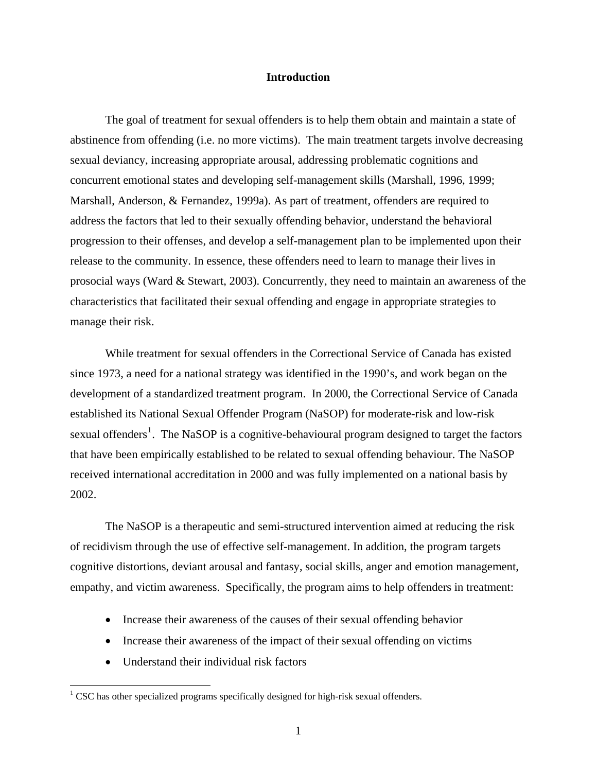### **Introduction**

<span id="page-12-0"></span>The goal of treatment for sexual offenders is to help them obtain and maintain a state of abstinence from offending (i.e. no more victims). The main treatment targets involve decreasing sexual deviancy, increasing appropriate arousal, addressing problematic cognitions and concurrent emotional states and developing self-management skills (Marshall, 1996, 1999; Marshall, Anderson, & Fernandez, 1999a). As part of treatment, offenders are required to address the factors that led to their sexually offending behavior, understand the behavioral progression to their offenses, and develop a self-management plan to be implemented upon their release to the community. In essence, these offenders need to learn to manage their lives in prosocial ways (Ward & Stewart, 2003). Concurrently, they need to maintain an awareness of the characteristics that facilitated their sexual offending and engage in appropriate strategies to manage their risk.

While treatment for sexual offenders in the Correctional Service of Canada has existed since 1973, a need for a national strategy was identified in the 1990's, and work began on the development of a standardized treatment program. In 2000, the Correctional Service of Canada established its National Sexual Offender Program (NaSOP) for moderate-risk and low-risk sexual offenders<sup>[1](#page-12-1)</sup>. The NaSOP is a cognitive-behavioural program designed to target the factors that have been empirically established to be related to sexual offending behaviour. The NaSOP received international accreditation in 2000 and was fully implemented on a national basis by 2002.

The NaSOP is a therapeutic and semi-structured intervention aimed at reducing the risk of recidivism through the use of effective self-management. In addition, the program targets cognitive distortions, deviant arousal and fantasy, social skills, anger and emotion management, empathy, and victim awareness. Specifically, the program aims to help offenders in treatment:

- Increase their awareness of the causes of their sexual offending behavior
- Increase their awareness of the impact of their sexual offending on victims
- Understand their individual risk factors

 $\overline{a}$ 

<span id="page-12-1"></span> $1$  CSC has other specialized programs specifically designed for high-risk sexual offenders.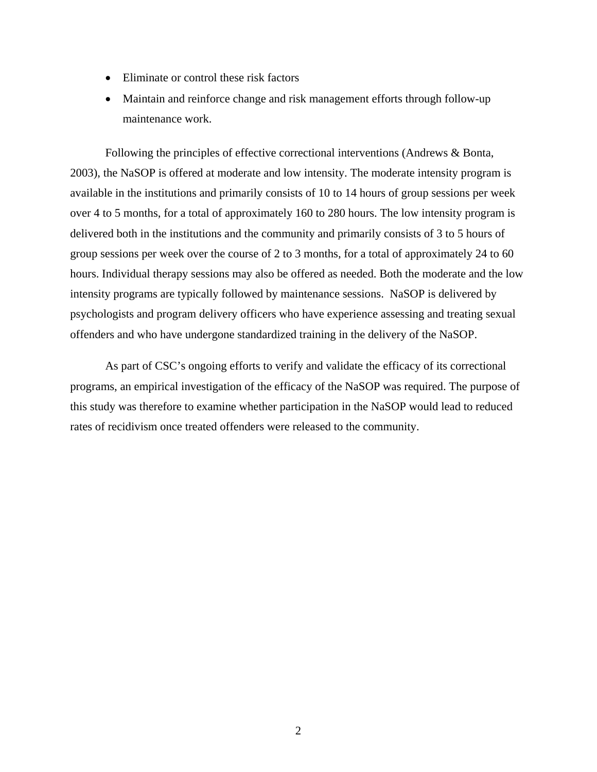- Eliminate or control these risk factors
- Maintain and reinforce change and risk management efforts through follow-up maintenance work.

Following the principles of effective correctional interventions (Andrews & Bonta, 2003), the NaSOP is offered at moderate and low intensity. The moderate intensity program is available in the institutions and primarily consists of 10 to 14 hours of group sessions per week over 4 to 5 months, for a total of approximately 160 to 280 hours. The low intensity program is delivered both in the institutions and the community and primarily consists of 3 to 5 hours of group sessions per week over the course of 2 to 3 months, for a total of approximately 24 to 60 hours. Individual therapy sessions may also be offered as needed. Both the moderate and the low intensity programs are typically followed by maintenance sessions. NaSOP is delivered by psychologists and program delivery officers who have experience assessing and treating sexual offenders and who have undergone standardized training in the delivery of the NaSOP.

As part of CSC's ongoing efforts to verify and validate the efficacy of its correctional programs, an empirical investigation of the efficacy of the NaSOP was required. The purpose of this study was therefore to examine whether participation in the NaSOP would lead to reduced rates of recidivism once treated offenders were released to the community.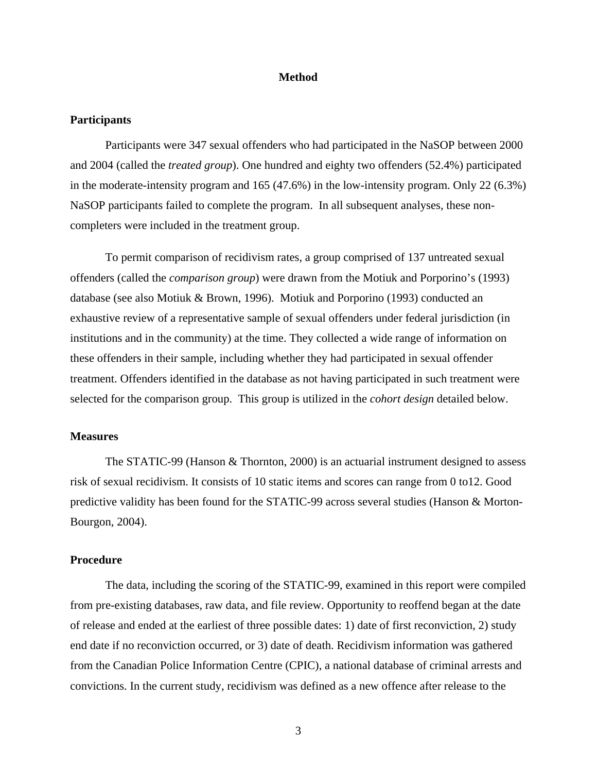### **Method**

### <span id="page-14-0"></span>**Participants**

Participants were 347 sexual offenders who had participated in the NaSOP between 2000 and 2004 (called the *treated group*). One hundred and eighty two offenders (52.4%) participated in the moderate-intensity program and  $165 (47.6%)$  in the low-intensity program. Only 22 (6.3%) NaSOP participants failed to complete the program. In all subsequent analyses, these noncompleters were included in the treatment group.

To permit comparison of recidivism rates, a group comprised of 137 untreated sexual offenders (called the *comparison group*) were drawn from the Motiuk and Porporino's (1993) database (see also Motiuk & Brown, 1996). Motiuk and Porporino (1993) conducted an exhaustive review of a representative sample of sexual offenders under federal jurisdiction (in institutions and in the community) at the time. They collected a wide range of information on these offenders in their sample, including whether they had participated in sexual offender treatment. Offenders identified in the database as not having participated in such treatment were selected for the comparison group. This group is utilized in the *cohort design* detailed below.

### **Measures**

The STATIC-99 (Hanson & Thornton, 2000) is an actuarial instrument designed to assess risk of sexual recidivism. It consists of 10 static items and scores can range from 0 to12. Good predictive validity has been found for the STATIC-99 across several studies (Hanson & Morton-Bourgon, 2004).

### **Procedure**

The data, including the scoring of the STATIC-99, examined in this report were compiled from pre-existing databases, raw data, and file review. Opportunity to reoffend began at the date of release and ended at the earliest of three possible dates: 1) date of first reconviction, 2) study end date if no reconviction occurred, or 3) date of death. Recidivism information was gathered from the Canadian Police Information Centre (CPIC), a national database of criminal arrests and convictions. In the current study, recidivism was defined as a new offence after release to the

3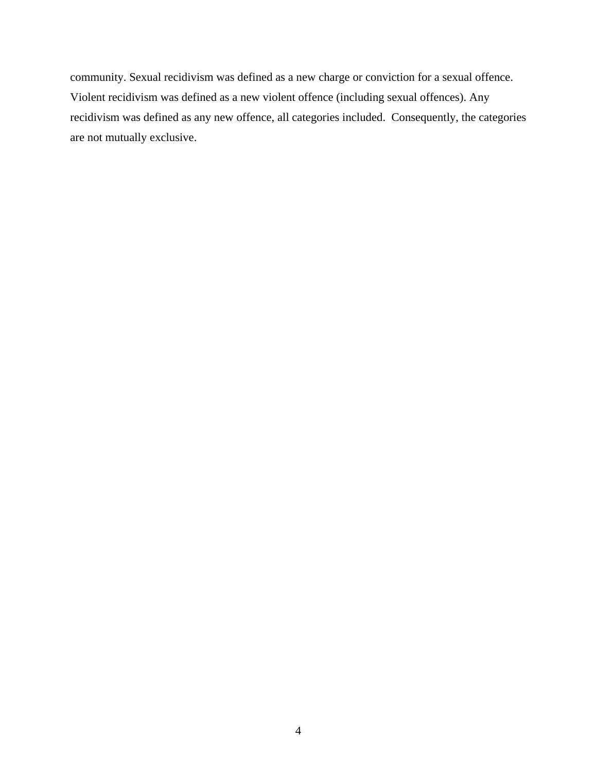community. Sexual recidivism was defined as a new charge or conviction for a sexual offence. Violent recidivism was defined as a new violent offence (including sexual offences). Any recidivism was defined as any new offence, all categories included. Consequently, the categories are not mutually exclusive.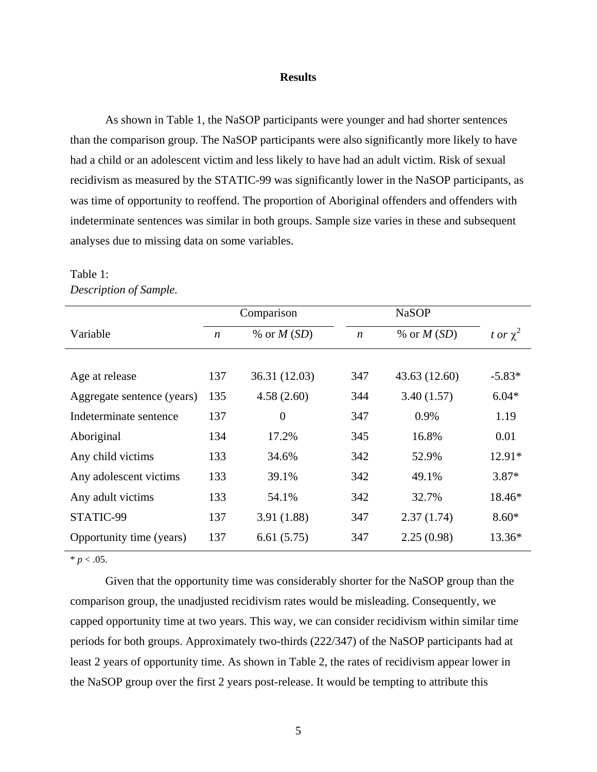### **Results**

<span id="page-16-0"></span>As shown in [Table 1](#page-16-1), the NaSOP participants were younger and had shorter sentences than the comparison group. The NaSOP participants were also significantly more likely to have had a child or an adolescent victim and less likely to have had an adult victim. Risk of sexual recidivism as measured by the STATIC-99 was significantly lower in the NaSOP participants, as was time of opportunity to reoffend. The proportion of Aboriginal offenders and offenders with indeterminate sentences was similar in both groups. Sample size varies in these and subsequent analyses due to missing data on some variables.

|                            | Comparison       |                |                  |               |               |
|----------------------------|------------------|----------------|------------------|---------------|---------------|
| Variable                   | $\boldsymbol{n}$ | % or $M(SD)$   | $\boldsymbol{n}$ | % or $M(SD)$  | t or $\chi^2$ |
|                            |                  |                |                  |               |               |
| Age at release             | 137              | 36.31 (12.03)  | 347              | 43.63 (12.60) | $-5.83*$      |
| Aggregate sentence (years) | 135              | 4.58(2.60)     | 344              | 3.40(1.57)    | $6.04*$       |
| Indeterminate sentence     | 137              | $\overline{0}$ | 347              | 0.9%          | 1.19          |
| Aboriginal                 | 134              | 17.2%          | 345              | 16.8%         | 0.01          |
| Any child victims          | 133              | 34.6%          | 342              | 52.9%         | $12.91*$      |
| Any adolescent victims     | 133              | 39.1%          | 342              | 49.1%         | $3.87*$       |
| Any adult victims          | 133              | 54.1%          | 342              | 32.7%         | 18.46*        |
| STATIC-99                  | 137              | 3.91(1.88)     | 347              | 2.37(1.74)    | $8.60*$       |
| Opportunity time (years)   | 137              | 6.61(5.75)     | 347              | 2.25(0.98)    | $13.36*$      |

## <span id="page-16-1"></span>Table 1: *Description of Sample.*

 $* p < .05$ .

Given that the opportunity time was considerably shorter for the NaSOP group than the comparison group, the unadjusted recidivism rates would be misleading. Consequently, we capped opportunity time at two years. This way, we can consider recidivism within similar time periods for both groups. Approximately two-thirds (222/347) of the NaSOP participants had at least 2 years of opportunity time. As shown in [Table 2,](#page-17-1) the rates of recidivism appear lower in the NaSOP group over the first 2 years post-release. It would be tempting to attribute this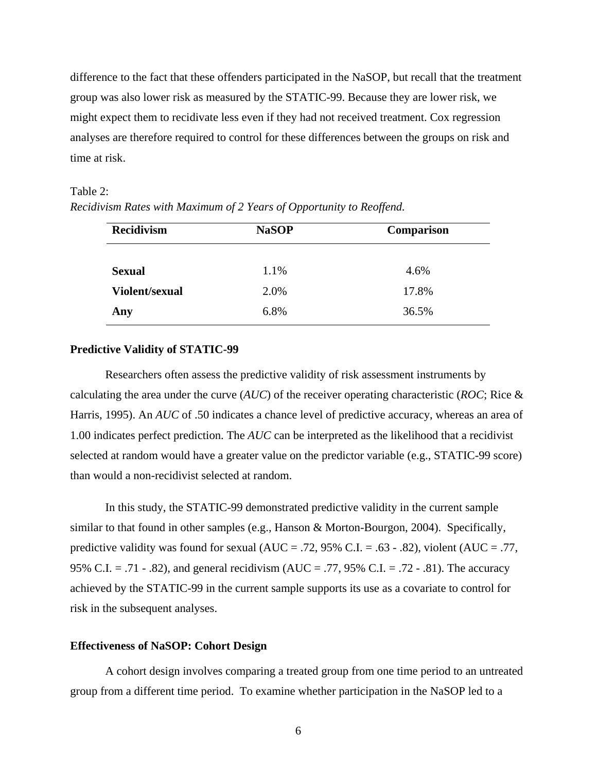<span id="page-17-0"></span>difference to the fact that these offenders participated in the NaSOP, but recall that the treatment group was also lower risk as measured by the STATIC-99. Because they are lower risk, we might expect them to recidivate less even if they had not received treatment. Cox regression analyses are therefore required to control for these differences between the groups on risk and time at risk.

#### <span id="page-17-1"></span>Table 2:

| <b>Recidivism</b>               | <b>NaSOP</b> | <b>Comparison</b> |  |  |
|---------------------------------|--------------|-------------------|--|--|
|                                 |              |                   |  |  |
| <b>Sexual</b><br>Violent/sexual | 1.1%<br>2.0% | 4.6%<br>17.8%     |  |  |
| Any                             | 6.8%         | 36.5%             |  |  |

*Recidivism Rates with Maximum of 2 Years of Opportunity to Reoffend.* 

### **Predictive Validity of STATIC-99**

Researchers often assess the predictive validity of risk assessment instruments by calculating the area under the curve (*AUC*) of the receiver operating characteristic (*ROC*; Rice & Harris, 1995). An *AUC* of .50 indicates a chance level of predictive accuracy, whereas an area of 1.00 indicates perfect prediction. The *AUC* can be interpreted as the likelihood that a recidivist selected at random would have a greater value on the predictor variable (e.g., STATIC-99 score) than would a non-recidivist selected at random.

In this study, the STATIC-99 demonstrated predictive validity in the current sample similar to that found in other samples (e.g., Hanson & Morton-Bourgon, 2004). Specifically, predictive validity was found for sexual ( $AUC = .72$ , 95% C.I. = .63 - .82), violent ( $AUC = .77$ , 95% C.I. = .71 - .82), and general recidivism (AUC = .77, 95% C.I. = .72 - .81). The accuracy achieved by the STATIC-99 in the current sample supports its use as a covariate to control for risk in the subsequent analyses.

### **Effectiveness of NaSOP: Cohort Design**

A cohort design involves comparing a treated group from one time period to an untreated group from a different time period. To examine whether participation in the NaSOP led to a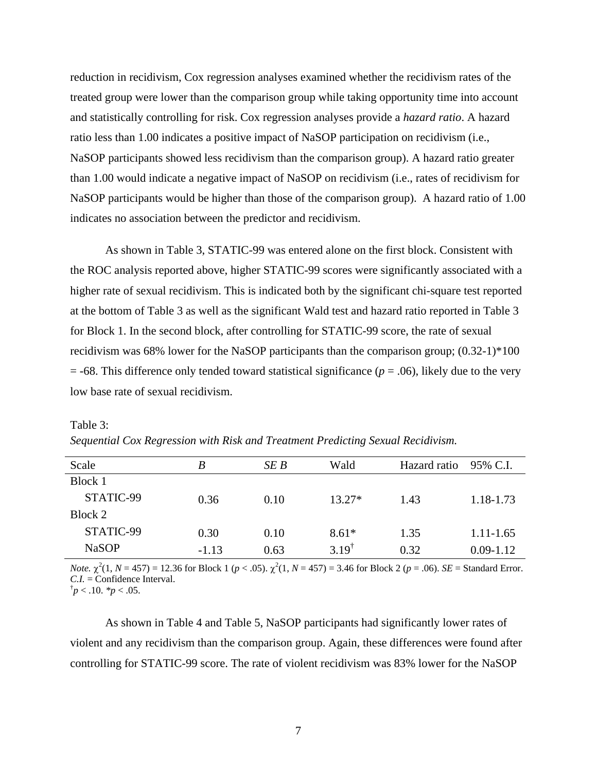<span id="page-18-0"></span>reduction in recidivism, Cox regression analyses examined whether the recidivism rates of the treated group were lower than the comparison group while taking opportunity time into account and statistically controlling for risk. Cox regression analyses provide a *hazard ratio*. A hazard ratio less than 1.00 indicates a positive impact of NaSOP participation on recidivism (i.e., NaSOP participants showed less recidivism than the comparison group). A hazard ratio greater than 1.00 would indicate a negative impact of NaSOP on recidivism (i.e., rates of recidivism for NaSOP participants would be higher than those of the comparison group). A hazard ratio of 1.00 indicates no association between the predictor and recidivism.

As shown in [Table 3](#page-18-1), STATIC-99 was entered alone on the first block. Consistent with the ROC analysis reported above, higher STATIC-99 scores were significantly associated with a higher rate of sexual recidivism. This is indicated both by the significant chi-square test reported at the bottom of [Table 3](#page-18-1) as well as the significant Wald test and hazard ratio reported in [Table 3](#page-18-1) for Block 1. In the second block, after controlling for STATIC-99 score, the rate of sexual recidivism was 68% lower for the NaSOP participants than the comparison group; (0.32-1)\*100  $=$  -68. This difference only tended toward statistical significance ( $p = .06$ ), likely due to the very low base rate of sexual recidivism.

| Scale        | B       | SE B | Wald       | Hazard ratio | 95% C.I.      |
|--------------|---------|------|------------|--------------|---------------|
| Block 1      |         |      |            |              |               |
| STATIC-99    | 0.36    | 0.10 | $13.27*$   | 1.43         | 1.18-1.73     |
| Block 2      |         |      |            |              |               |
| STATIC-99    | 0.30    | 0.10 | $8.61*$    | 1.35         | $1.11 - 1.65$ |
| <b>NaSOP</b> | $-1.13$ | 0.63 | $3.19^{1}$ | 0.32         | $0.09 - 1.12$ |

<span id="page-18-1"></span>

| Table 3: |                                                                                 |
|----------|---------------------------------------------------------------------------------|
|          | Sequential Cox Regression with Risk and Treatment Predicting Sexual Recidivism. |

*Note.*  $\chi^2(1, N = 457) = 12.36$  for Block 1 ( $p < .05$ ).  $\chi^2(1, N = 457) = 3.46$  for Block 2 ( $p = .06$ ). *SE* = Standard Error. *C.I.* = Confidence Interval.

 $\phi$ <sup>†</sup> $p$  < .10. *\*p* < .05.

As shown in [Table 4](#page-19-1) and [Table 5,](#page-19-2) NaSOP participants had significantly lower rates of violent and any recidivism than the comparison group. Again, these differences were found after controlling for STATIC-99 score. The rate of violent recidivism was 83% lower for the NaSOP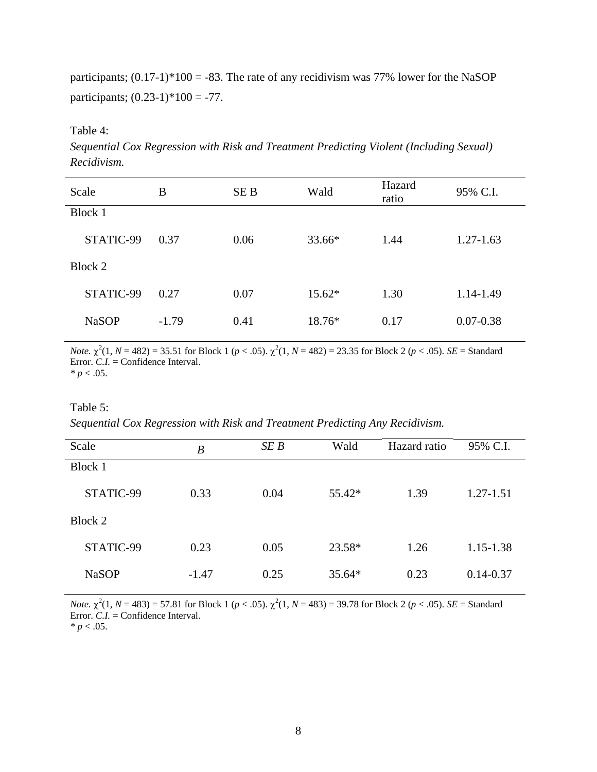<span id="page-19-0"></span>participants;  $(0.17-1)*100 = -83$ . The rate of any recidivism was 77% lower for the NaSOP participants;  $(0.23-1)*100 = -77$ .

<span id="page-19-1"></span>Table 4:

*Sequential Cox Regression with Risk and Treatment Predicting Violent (Including Sexual) Recidivism.* 

| Scale        | B       | SE B | Wald     | Hazard<br>ratio | 95% C.I.      |
|--------------|---------|------|----------|-----------------|---------------|
| Block 1      |         |      |          |                 |               |
| STATIC-99    | 0.37    | 0.06 | 33.66*   | 1.44            | $1.27 - 1.63$ |
| Block 2      |         |      |          |                 |               |
| STATIC-99    | 0.27    | 0.07 | $15.62*$ | 1.30            | 1.14-1.49     |
| <b>NaSOP</b> | $-1.79$ | 0.41 | 18.76*   | 0.17            | $0.07 - 0.38$ |

*Note.*  $\chi^2(1, N = 482) = 35.51$  for Block 1 ( $p < .05$ ).  $\chi^2(1, N = 482) = 23.35$  for Block 2 ( $p < .05$ ). *SE* = Standard Error. *C.I.* = Confidence Interval.  $* p < .05.$ 

### <span id="page-19-2"></span>Table 5:

*Sequential Cox Regression with Risk and Treatment Predicting Any Recidivism.* 

| Scale        | $\boldsymbol{B}$ | SE B | Wald     | Hazard ratio | 95% C.I.      |
|--------------|------------------|------|----------|--------------|---------------|
| Block 1      |                  |      |          |              |               |
| STATIC-99    | 0.33             | 0.04 | 55.42*   | 1.39         | 1.27-1.51     |
| Block 2      |                  |      |          |              |               |
| STATIC-99    | 0.23             | 0.05 | 23.58*   | 1.26         | 1.15-1.38     |
| <b>NaSOP</b> | $-1.47$          | 0.25 | $35.64*$ | 0.23         | $0.14 - 0.37$ |

*Note.*  $\chi^2(1, N = 483) = 57.81$  for Block 1 ( $p < .05$ ).  $\chi^2(1, N = 483) = 39.78$  for Block 2 ( $p < .05$ ). *SE* = Standard Error. *C.I.* = Confidence Interval.

 $* p < .05.$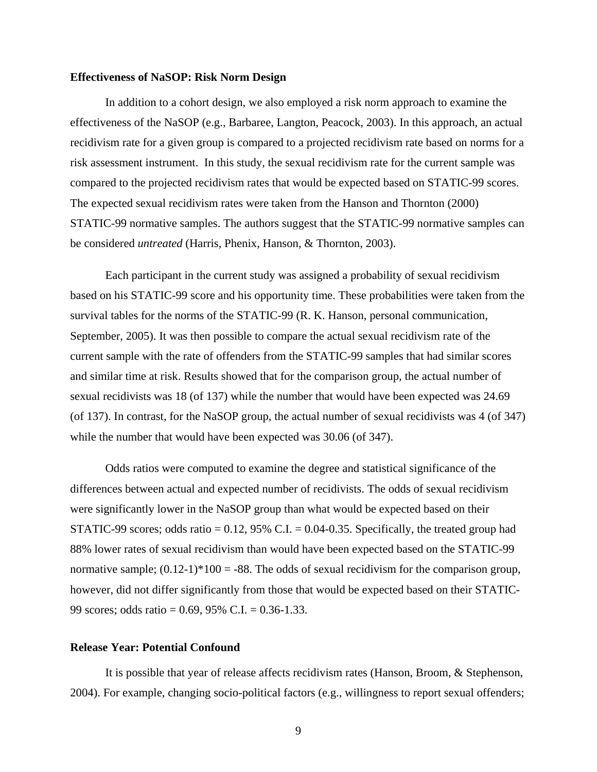#### <span id="page-20-0"></span>**Effectiveness of NaSOP: Risk Norm Design**

In addition to a cohort design, we also employed a risk norm approach to examine the effectiveness of the NaSOP (e.g., Barbaree, Langton, Peacock, 2003). In this approach, an actual recidivism rate for a given group is compared to a projected recidivism rate based on norms for a risk assessment instrument. In this study, the sexual recidivism rate for the current sample was compared to the projected recidivism rates that would be expected based on STATIC-99 scores. The expected sexual recidivism rates were taken from the Hanson and Thornton (2000) STATIC-99 normative samples. The authors suggest that the STATIC-99 normative samples can be considered *untreated* (Harris, Phenix, Hanson, & Thornton, 2003).

Each participant in the current study was assigned a probability of sexual recidivism based on his STATIC-99 score and his opportunity time. These probabilities were taken from the survival tables for the norms of the STATIC-99 (R. K. Hanson, personal communication, September, 2005). It was then possible to compare the actual sexual recidivism rate of the current sample with the rate of offenders from the STATIC-99 samples that had similar scores and similar time at risk. Results showed that for the comparison group, the actual number of sexual recidivists was 18 (of 137) while the number that would have been expected was 24.69 (of 137). In contrast, for the NaSOP group, the actual number of sexual recidivists was 4 (of 347) while the number that would have been expected was 30.06 (of 347).

Odds ratios were computed to examine the degree and statistical significance of the differences between actual and expected number of recidivists. The odds of sexual recidivism were significantly lower in the NaSOP group than what would be expected based on their STATIC-99 scores; odds ratio =  $0.12$ , 95% C.I. =  $0.04$ -0.35. Specifically, the treated group had 88% lower rates of sexual recidivism than would have been expected based on the STATIC-99 normative sample;  $(0.12-1)*100 = -88$ . The odds of sexual recidivism for the comparison group, however, did not differ significantly from those that would be expected based on their STATIC-99 scores; odds ratio = 0.69, 95% C.I. = 0.36-1.33.

### **Release Year: Potential Confound**

It is possible that year of release affects recidivism rates (Hanson, Broom, & Stephenson, 2004). For example, changing socio-political factors (e.g., willingness to report sexual offenders;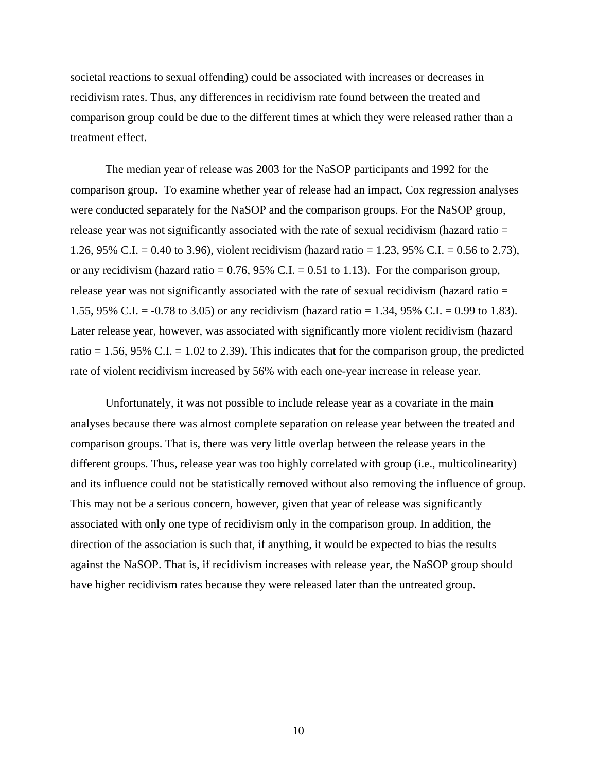societal reactions to sexual offending) could be associated with increases or decreases in recidivism rates. Thus, any differences in recidivism rate found between the treated and comparison group could be due to the different times at which they were released rather than a treatment effect.

The median year of release was 2003 for the NaSOP participants and 1992 for the comparison group. To examine whether year of release had an impact, Cox regression analyses were conducted separately for the NaSOP and the comparison groups. For the NaSOP group, release year was not significantly associated with the rate of sexual recidivism (hazard ratio = 1.26, 95% C.I. = 0.40 to 3.96), violent recidivism (hazard ratio = 1.23, 95% C.I. = 0.56 to 2.73), or any recidivism (hazard ratio =  $0.76$ , 95% C.I. = 0.51 to 1.13). For the comparison group, release year was not significantly associated with the rate of sexual recidivism (hazard ratio = 1.55, 95% C.I. = -0.78 to 3.05) or any recidivism (hazard ratio = 1.34, 95% C.I. = 0.99 to 1.83). Later release year, however, was associated with significantly more violent recidivism (hazard ratio  $= 1.56$ , 95% C.I.  $= 1.02$  to 2.39). This indicates that for the comparison group, the predicted rate of violent recidivism increased by 56% with each one-year increase in release year.

Unfortunately, it was not possible to include release year as a covariate in the main analyses because there was almost complete separation on release year between the treated and comparison groups. That is, there was very little overlap between the release years in the different groups. Thus, release year was too highly correlated with group (i.e., multicolinearity) and its influence could not be statistically removed without also removing the influence of group. This may not be a serious concern, however, given that year of release was significantly associated with only one type of recidivism only in the comparison group. In addition, the direction of the association is such that, if anything, it would be expected to bias the results against the NaSOP. That is, if recidivism increases with release year, the NaSOP group should have higher recidivism rates because they were released later than the untreated group.

10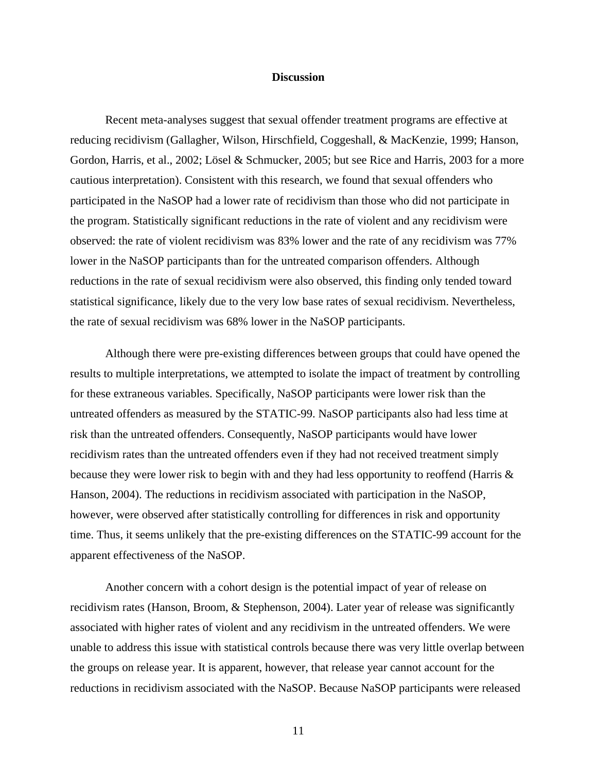### **Discussion**

<span id="page-22-0"></span>Recent meta-analyses suggest that sexual offender treatment programs are effective at reducing recidivism (Gallagher, Wilson, Hirschfield, Coggeshall, & MacKenzie, 1999; Hanson, Gordon, Harris, et al., 2002; Lösel & Schmucker, 2005; but see Rice and Harris, 2003 for a more cautious interpretation). Consistent with this research, we found that sexual offenders who participated in the NaSOP had a lower rate of recidivism than those who did not participate in the program. Statistically significant reductions in the rate of violent and any recidivism were observed: the rate of violent recidivism was 83% lower and the rate of any recidivism was 77% lower in the NaSOP participants than for the untreated comparison offenders. Although reductions in the rate of sexual recidivism were also observed, this finding only tended toward statistical significance, likely due to the very low base rates of sexual recidivism. Nevertheless, the rate of sexual recidivism was 68% lower in the NaSOP participants.

Although there were pre-existing differences between groups that could have opened the results to multiple interpretations, we attempted to isolate the impact of treatment by controlling for these extraneous variables. Specifically, NaSOP participants were lower risk than the untreated offenders as measured by the STATIC-99. NaSOP participants also had less time at risk than the untreated offenders. Consequently, NaSOP participants would have lower recidivism rates than the untreated offenders even if they had not received treatment simply because they were lower risk to begin with and they had less opportunity to reoffend (Harris & Hanson, 2004). The reductions in recidivism associated with participation in the NaSOP, however, were observed after statistically controlling for differences in risk and opportunity time. Thus, it seems unlikely that the pre-existing differences on the STATIC-99 account for the apparent effectiveness of the NaSOP.

Another concern with a cohort design is the potential impact of year of release on recidivism rates (Hanson, Broom, & Stephenson, 2004). Later year of release was significantly associated with higher rates of violent and any recidivism in the untreated offenders. We were unable to address this issue with statistical controls because there was very little overlap between the groups on release year. It is apparent, however, that release year cannot account for the reductions in recidivism associated with the NaSOP. Because NaSOP participants were released

11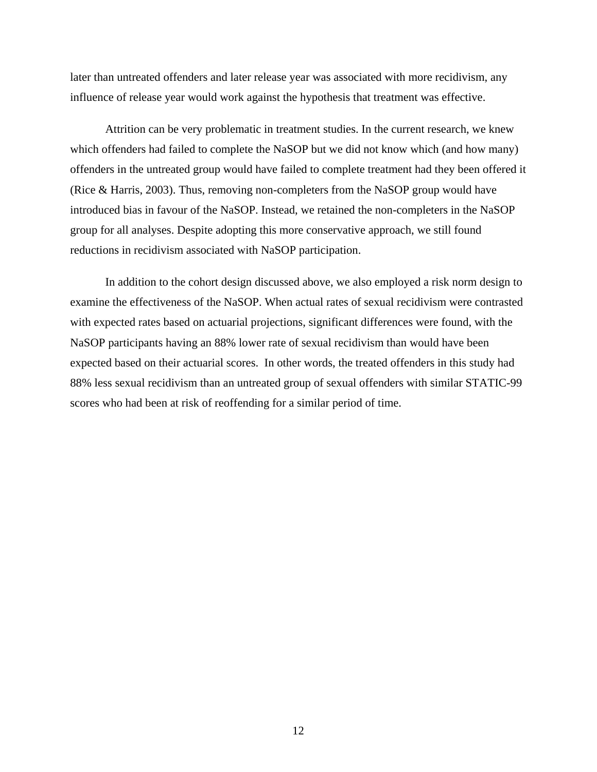later than untreated offenders and later release year was associated with more recidivism, any influence of release year would work against the hypothesis that treatment was effective.

Attrition can be very problematic in treatment studies. In the current research, we knew which offenders had failed to complete the NaSOP but we did not know which (and how many) offenders in the untreated group would have failed to complete treatment had they been offered it (Rice & Harris, 2003). Thus, removing non-completers from the NaSOP group would have introduced bias in favour of the NaSOP. Instead, we retained the non-completers in the NaSOP group for all analyses. Despite adopting this more conservative approach, we still found reductions in recidivism associated with NaSOP participation.

In addition to the cohort design discussed above, we also employed a risk norm design to examine the effectiveness of the NaSOP. When actual rates of sexual recidivism were contrasted with expected rates based on actuarial projections, significant differences were found, with the NaSOP participants having an 88% lower rate of sexual recidivism than would have been expected based on their actuarial scores. In other words, the treated offenders in this study had 88% less sexual recidivism than an untreated group of sexual offenders with similar STATIC-99 scores who had been at risk of reoffending for a similar period of time.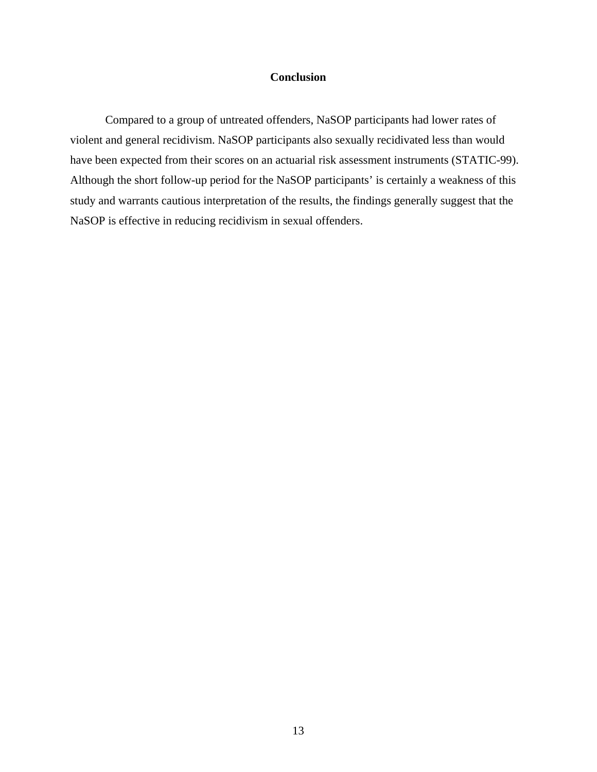## **Conclusion**

<span id="page-24-0"></span>Compared to a group of untreated offenders, NaSOP participants had lower rates of violent and general recidivism. NaSOP participants also sexually recidivated less than would have been expected from their scores on an actuarial risk assessment instruments (STATIC-99). Although the short follow-up period for the NaSOP participants' is certainly a weakness of this study and warrants cautious interpretation of the results, the findings generally suggest that the NaSOP is effective in reducing recidivism in sexual offenders.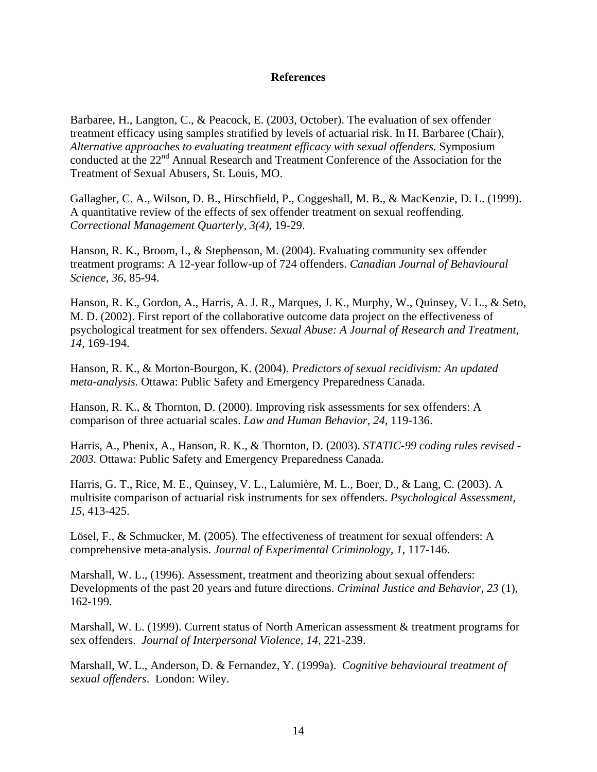### **References**

<span id="page-25-0"></span>Barbaree, H., Langton, C., & Peacock, E. (2003, October). The evaluation of sex offender treatment efficacy using samples stratified by levels of actuarial risk. In H. Barbaree (Chair), *Alternative approaches to evaluating treatment efficacy with sexual offenders.* Symposium conducted at the 22<sup>nd</sup> Annual Research and Treatment Conference of the Association for the Treatment of Sexual Abusers, St. Louis, MO.

Gallagher, C. A., Wilson, D. B., Hirschfield, P., Coggeshall, M. B., & MacKenzie, D. L. (1999). A quantitative review of the effects of sex offender treatment on sexual reoffending. *Correctional Management Quarterly, 3(4),* 19-29.

Hanson, R. K., Broom, I., & Stephenson, M. (2004). Evaluating community sex offender treatment programs: A 12-year follow-up of 724 offenders. *Canadian Journal of Behavioural Science, 36,* 85-94.

Hanson, R. K., Gordon, A., Harris, A. J. R., Marques, J. K., Murphy, W., Quinsey, V. L., & Seto, M. D. (2002). First report of the collaborative outcome data project on the effectiveness of psychological treatment for sex offenders. *Sexual Abuse: A Journal of Research and Treatment, 14,* 169-194.

Hanson, R. K., & Morton-Bourgon, K. (2004). *Predictors of sexual recidivism: An updated meta-analysis*. Ottawa: Public Safety and Emergency Preparedness Canada.

Hanson, R. K., & Thornton, D. (2000). Improving risk assessments for sex offenders: A comparison of three actuarial scales. *Law and Human Behavior, 24,* 119-136.

Harris, A., Phenix, A., Hanson, R. K., & Thornton, D. (2003). *STATIC-99 coding rules revised - 2003.* Ottawa: Public Safety and Emergency Preparedness Canada.

Harris, G. T., Rice, M. E., Quinsey, V. L., Lalumière, M. L., Boer, D., & Lang, C. (2003). A multisite comparison of actuarial risk instruments for sex offenders. *Psychological Assessment, 15,* 413-425.

Lösel, F., & Schmucker, M. (2005). The effectiveness of treatment for sexual offenders: A comprehensive meta-analysis. *Journal of Experimental Criminology, 1,* 117-146.

Marshall, W. L., (1996). Assessment, treatment and theorizing about sexual offenders: Developments of the past 20 years and future directions. *Criminal Justice and Behavior, 23* (1), 162-199.

Marshall, W. L. (1999). Current status of North American assessment & treatment programs for sex offenders. *Journal of Interpersonal Violence, 14,* 221-239.

Marshall, W. L., Anderson, D. & Fernandez, Y. (1999a). *Cognitive behavioural treatment of sexual offenders*. London: Wiley.